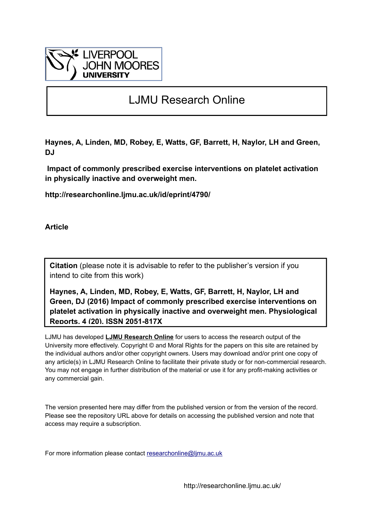

# LJMU Research Online

**Haynes, A, Linden, MD, Robey, E, Watts, GF, Barrett, H, Naylor, LH and Green, DJ**

 **Impact of commonly prescribed exercise interventions on platelet activation in physically inactive and overweight men.**

**http://researchonline.ljmu.ac.uk/id/eprint/4790/**

**Article**

**Citation** (please note it is advisable to refer to the publisher's version if you intend to cite from this work)

**Haynes, A, Linden, MD, Robey, E, Watts, GF, Barrett, H, Naylor, LH and Green, DJ (2016) Impact of commonly prescribed exercise interventions on platelet activation in physically inactive and overweight men. Physiological Reports, 4 (20). ISSN 2051-817X** 

LJMU has developed **[LJMU Research Online](http://researchonline.ljmu.ac.uk/)** for users to access the research output of the University more effectively. Copyright © and Moral Rights for the papers on this site are retained by the individual authors and/or other copyright owners. Users may download and/or print one copy of any article(s) in LJMU Research Online to facilitate their private study or for non-commercial research. You may not engage in further distribution of the material or use it for any profit-making activities or any commercial gain.

The version presented here may differ from the published version or from the version of the record. Please see the repository URL above for details on accessing the published version and note that access may require a subscription.

For more information please contact researchonline@limu.ac.uk

http://researchonline.ljmu.ac.uk/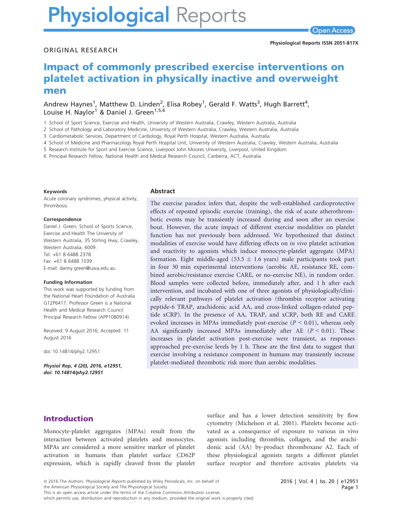# **Physiological Reports**

# Impact of commonly prescribed exercise interventions on platelet activation in physically inactive and overweight men

Andrew Haynes<sup>1</sup>, Matthew D. Linden<sup>2</sup>, Elisa Robey<sup>1</sup>, Gerald F. Watts<sup>3</sup>, Hugh Barrett<sup>4</sup>, Louise H. Naylor<sup>1</sup> & Daniel J. Green<sup>1,5,6</sup>

1 School of Sport Science, Exercise and Health, University of Western Australia, Crawley, Western Australia, Australia

2 School of Pathology and Laboratory Medicine, University of Western Australia, Crawley, Western Australia, Australia

3 Cardiometabolic Services, Department of Cardiology, Royal Perth Hospital, Western Australia, Australia

4 School of Medicine and Pharmacology Royal Perth Hospital Unit, University of Western Australia, Crawley, Western Australia, Australia

5 Research Institute for Sport and Exercise Science, Liverpool John Moores University, Liverpool, United Kingdom

6 Principal Research Fellow, National Health and Medical Research Council, Canberra, ACT, Australia

#### Keywords

Acute coronary syndromes, physical activity, thrombosis.

#### **Correspondence**

Daniel J. Green, School of Sports Science, Exercise and Health The University of Western Australia, 35 Stirling Hwy, Crawley, Western Australia, 6009. Tel: +61 8 6488 2378 Fax: +61 8 6488 1039 E-mail: danny.green@uwa.edu.au

#### Funding Information

This work was supported by funding from the National Heart Foundation of Australia G12P6417. Professor Green is a National Health and Medical Research Council Principal Research Fellow (APP1080914).

Received: 9 August 2016; Accepted: 11 August 2016

doi: 10.14814/phy2.12951

Physiol Rep, 4 (20), 2016, e12951, doi: 10.14814/phy2.12951

#### Abstract

The exercise paradox infers that, despite the well-established cardioprotective effects of repeated episodic exercise (training), the risk of acute atherothrombotic events may be transiently increased during and soon after an exercise bout. However, the acute impact of different exercise modalities on platelet function has not previously been addressed. We hypothesized that distinct modalities of exercise would have differing effects on in vivo platelet activation and reactivity to agonists which induce monocyte-platelet aggregate (MPA) formation. Eight middle-aged (53.5  $\pm$  1.6 years) male participants took part in four 30 min experimental interventions (aerobic AE, resistance RE, combined aerobic/resistance exercise CARE, or no-exercise NE), in random order. Blood samples were collected before, immediately after, and 1 h after each intervention, and incubated with one of three agonists of physiologically/clinically relevant pathways of platelet activation (thrombin receptor activating peptide-6 TRAP, arachidonic acid AA, and cross-linked collagen-related peptide xCRP). In the presence of AA, TRAP, and xCRP, both RE and CARE evoked increases in MPAs immediately post-exercise  $(P < 0.01)$ , whereas only AA significantly increased MPAs immediately after AE  $(P < 0.01)$ . These increases in platelet activation post-exercise were transient, as responses approached pre-exercise levels by 1 h. These are the first data to suggest that exercise involving a resistance component in humans may transiently increase platelet-mediated thrombotic risk more than aerobic modalities.

# Introduction

Monocyte-platelet aggregates (MPAs) result from the interaction between activated platelets and monocytes. MPAs are considered a more sensitive marker of platelet activation in humans than platelet surface CD62P expression, which is rapidly cleaved from the platelet surface and has a lower detection sensitivity by flow cytometry (Michelson et al. 2001). Platelets become activated as a consequence of exposure to various in vivo agonists including thrombin, collagen, and the arachidonic acid (AA) by-product thromboxane A2. Each of these physiological agonists targets a different platelet surface receptor and therefore activates platelets via

which permits use, distribution and reproduction in any medium, provided the original work is properly cited.

<sup>ª</sup> 2016 The Authors. Physiological Reports published by Wiley Periodicals, Inc. on behalf of

the American Physiological Society and The Physiological Society.

This is an open access article under the terms of the Creative Commons Attribution License,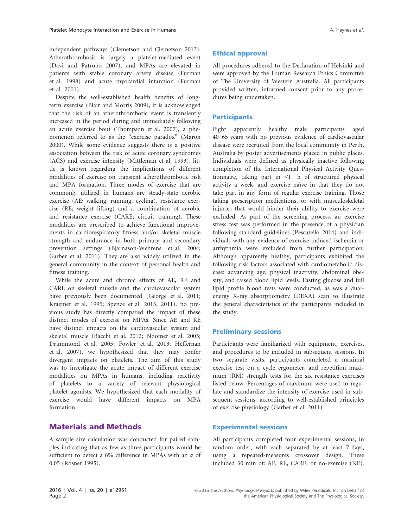Despite the well-established health benefits of longterm exercise (Blair and Morris 2009), it is acknowledged that the risk of an atherothrombotic event is transiently increased in the period during and immediately following an acute exercise bout (Thompson et al. 2007), a phenomenon referred to as the "exercise paradox" (Maron 2000). While some evidence suggests there is a positive association between the risk of acute coronary syndromes (ACS) and exercise intensity (Mittleman et al. 1993), little is known regarding the implications of different modalities of exercise on transient atherothrombotic risk and MPA formation. Three modes of exercise that are commonly utilized in humans are steady-state aerobic exercise (AE; walking, running, cycling), resistance exercise (RE; weight lifting) and a combination of aerobic and resistance exercise (CARE; circuit training). These modalities are prescribed to achieve functional improvements in cardiorespiratory fitness and/or skeletal muscle strength and endurance in both primary and secondary prevention settings (Bjarnason-Wehrens et al. 2004; Garber et al. 2011). They are also widely utilized in the general community in the context of personal health and fitness training.

While the acute and chronic effects of AE, RE and CARE on skeletal muscle and the cardiovascular system have previously been documented (George et al. 2011; Kraemer et al. 1995; Spence et al. 2013, 2011), no previous study has directly compared the impact of these distinct modes of exercise on MPAs. Since AE and RE have distinct impacts on the cardiovascular system and skeletal muscle (Bacchi et al. 2012; Bloomer et al. 2005; Drummond et al. 2005; Fowler et al. 2013; Heffernan et al. 2007), we hypothesized that they may confer divergent impacts on platelets. The aim of this study was to investigate the acute impact of different exercise modalities on MPAs in humans, including reactivity of platelets to a variety of relevant physiological platelet agonists. We hypothesized that each modality of exercise would have different impacts on MPA formation.

# Materials and Methods

A sample size calculation was conducted for paired samples indicating that as few as three participants would be sufficient to detect a 6% difference in MPAs with an  $\alpha$  of 0.05 (Rosner 1995).

# Ethical approval

All procedures adhered to the Declaration of Helsinki and were approved by the Human Research Ethics Committee of The University of Western Australia. All participants provided written, informed consent prior to any procedures being undertaken.

# **Participants**

Eight apparently healthy male participants aged 40–65 years with no previous evidence of cardiovascular disease were recruited from the local community in Perth, Australia by poster advertisements placed in public places. Individuals were defined as physically inactive following completion of the International Physical Activity Questionnaire, taking part in <1 h of structured physical activity a week, and exercise naïve in that they do not take part in any form of regular exercise training. Those taking prescription medications, or with musculoskeletal injuries that would hinder their ability to exercise were excluded. As part of the screening process, an exercise stress test was performed in the presence of a physician following standard guidelines (Pescatello 2014) and individuals with any evidence of exercise-induced ischemia or arrhythmia were excluded from further participation. Although apparently healthy, participants exhibited the following risk factors associated with cardiometabolic disease: advancing age, physical inactivity, abdominal obesity, and raised blood lipid levels. Fasting glucose and full lipid profile blood tests were conducted, as was a dualenergy X-ray absorptiometry (DEXA) scan to illustrate the general characteristics of the participants included in the study.

## Preliminary sessions

Participants were familiarized with equipment, exercises, and procedures to be included in subsequent sessions. In two separate visits, participants completed a maximal exercise test on a cycle ergometer, and repetition maximum (RM) strength tests for the six resistance exercises listed below. Percentages of maximum were used to regulate and standardize the intensity of exercise used in subsequent sessions, according to well-established principles of exercise physiology (Garber et al. 2011).

# Experimental sessions

All participants completed four experimental sessions, in random order, with each separated by at least 7 days, using a repeated-measures crossover design. These included 30 min of: AE, RE, CARE, or no-exercise (NE).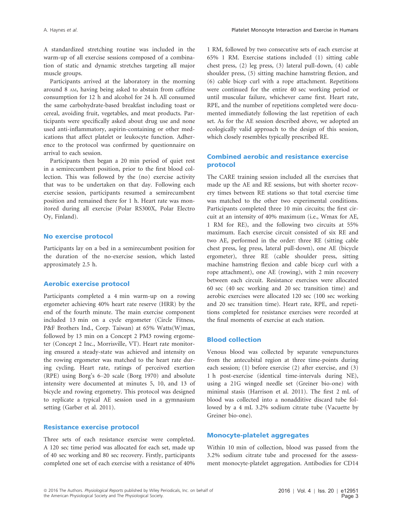A standardized stretching routine was included in the warm-up of all exercise sessions composed of a combination of static and dynamic stretches targeting all major muscle groups.

Participants arrived at the laboratory in the morning around 8 AM, having being asked to abstain from caffeine consumption for 12 h and alcohol for 24 h. All consumed the same carbohydrate-based breakfast including toast or cereal, avoiding fruit, vegetables, and meat products. Participants were specifically asked about drug use and none used anti-inflammatory, aspirin-containing or other medications that affect platelet or leukocyte function. Adherence to the protocol was confirmed by questionnaire on arrival to each session.

Participants then began a 20 min period of quiet rest in a semirecumbent position, prior to the first blood collection. This was followed by the (no) exercise activity that was to be undertaken on that day. Following each exercise session, participants resumed a semirecumbent position and remained there for 1 h. Heart rate was monitored during all exercise (Polar RS300X, Polar Electro Oy, Finland).

#### No exercise protocol

Participants lay on a bed in a semirecumbent position for the duration of the no-exercise session, which lasted approximately 2.5 h.

#### Aerobic exercise protocol

Participants completed a 4 min warm-up on a rowing ergometer achieving 40% heart rate reserve (HRR) by the end of the fourth minute. The main exercise component included 13 min on a cycle ergometer (Circle Fitness, P&F Brothers Ind., Corp. Taiwan) at 65% Watts(W)max, followed by 13 min on a Concept 2 PM3 rowing ergometer (Concept 2 Inc., Morrisville, VT). Heart rate monitoring ensured a steady-state was achieved and intensity on the rowing ergometer was matched to the heart rate during cycling. Heart rate, ratings of perceived exertion (RPE) using Borg's 6–20 scale (Borg 1970) and absolute intensity were documented at minutes 5, 10, and 13 of bicycle and rowing ergometry. This protocol was designed to replicate a typical AE session used in a gymnasium setting (Garber et al. 2011).

#### Resistance exercise protocol

Three sets of each resistance exercise were completed. A 120 sec time period was allocated for each set, made up of 40 sec working and 80 sec recovery. Firstly, participants completed one set of each exercise with a resistance of 40%

1 RM, followed by two consecutive sets of each exercise at 65% 1 RM. Exercise stations included (1) sitting cable chest press, (2) leg press, (3) lateral pull-down, (4) cable shoulder press, (5) sitting machine hamstring flexion, and (6) cable bicep curl with a rope attachment. Repetitions were continued for the entire 40 sec working period or until muscular failure, whichever came first. Heart rate, RPE, and the number of repetitions completed were documented immediately following the last repetition of each set. As for the AE session described above, we adopted an ecologically valid approach to the design of this session, which closely resembles typically prescribed RE.

# Combined aerobic and resistance exercise protocol

The CARE training session included all the exercises that made up the AE and RE sessions, but with shorter recovery times between RE stations so that total exercise time was matched to the other two experimental conditions. Participants completed three 10 min circuits; the first circuit at an intensity of 40% maximum (i.e., Wmax for AE, 1 RM for RE), and the following two circuits at 55% maximum. Each exercise circuit consisted of six RE and two AE, performed in the order: three RE (sitting cable chest press, leg press, lateral pull-down), one AE (bicycle ergometer), three RE (cable shoulder press, sitting machine hamstring flexion and cable bicep curl with a rope attachment), one AE (rowing), with 2 min recovery between each circuit. Resistance exercises were allocated 60 sec (40 sec working and 20 sec transition time) and aerobic exercises were allocated 120 sec (100 sec working and 20 sec transition time). Heart rate, RPE, and repetitions completed for resistance exercises were recorded at the final moments of exercise at each station.

#### Blood collection

Venous blood was collected by separate venepunctures from the antecubital region at three time-points during each session; (1) before exercise (2) after exercise, and (3) 1 h post-exercise (identical time-intervals during NE), using a 21G winged needle set (Greiner bio-one) with minimal stasis (Harrison et al. 2011). The first 2 mL of blood was collected into a nonadditive discard tube followed by a 4 mL 3.2% sodium citrate tube (Vacuette by Greiner bio-one).

#### Monocyte-platelet aggregates

Within 10 min of collection, blood was passed from the 3.2% sodium citrate tube and processed for the assessment monocyte-platelet aggregation. Antibodies for CD14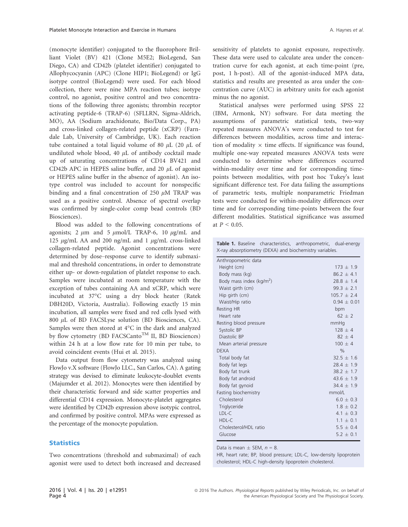(monocyte identifier) conjugated to the fluorophore Brilliant Violet (BV) 421 (Clone M5E2; BioLegend, San Diego, CA) and CD42b (platelet identifier) conjugated to Allophycocyanin (APC) (Clone HIP1; BioLegend) or IgG isotype control (BioLegend) were used. For each blood collection, there were nine MPA reaction tubes; isotype control, no agonist, positive control and two concentrations of the following three agonists; thrombin receptor activating peptide-6 (TRAP-6) (SFLLRN, Sigma-Aldrich, MO), AA (Sodium arachidonate, Bio/Data Corp., PA) and cross-linked collagen-related peptide (xCRP) (Farndale Lab, University of Cambridge, UK). Each reaction tube contained a total liquid volume of 80  $\mu$ L (20  $\mu$ L of undiluted whole blood, 40  $\mu$ L of antibody cocktail made up of saturating concentrations of CD14 BV421 and CD42b APC in HEPES saline buffer, and 20  $\mu$ L of agonist or HEPES saline buffer in the absence of agonist). An isotype control was included to account for nonspecific binding and a final concentration of 250  $\mu$ M TRAP was used as a positive control. Absence of spectral overlap was confirmed by single-color comp bead controls (BD Biosciences).

Blood was added to the following concentrations of agonists; 2  $\mu$ m and 5  $\mu$ mol/L TRAP-6, 10  $\mu$ g/mL and 125  $\mu$ g/mL AA and 200 ng/mL and 1  $\mu$ g/mL cross-linked collagen-related peptide. Agonist concentrations were determined by dose–response curve to identify submaximal and threshold concentrations, in order to demonstrate either up- or down-regulation of platelet response to each. Samples were incubated at room temperature with the exception of tubes containing AA and xCRP, which were incubated at 37°C using a dry block heater (Ratek DBH20D, Victoria, Australia). Following exactly 15 min incubation, all samples were fixed and red cells lysed with 800  $\mu$ L of BD FACSLyse solution (BD Biosciences, CA). Samples were then stored at 4°C in the dark and analyzed by flow cytometry (BD FACSCanto<sup>TM</sup> II, BD Biosciences) within 24 h at a low flow rate for 10 min per tube, to avoid coincident events (Hui et al. 2015).

Data output from flow cytometry was analyzed using FlowJo v.X software (FlowJo LLC., San Carlos, CA). A gating strategy was devised to eliminate leukocyte-doublet events (Majumder et al. 2012). Monocytes were then identified by their characteristic forward and side scatter properties and differential CD14 expression. Monocyte-platelet aggregates were identified by CD42b expression above isotypic control, and confirmed by positive control. MPAs were expressed as the percentage of the monocyte population.

#### **Statistics**

Two concentrations (threshold and submaximal) of each agonist were used to detect both increased and decreased sensitivity of platelets to agonist exposure, respectively. These data were used to calculate area under the concentration curve for each agonist, at each time-point (pre, post, 1 h-post). All of the agonist-induced MPA data, statistics and results are presented as area under the concentration curve (AUC) in arbitrary units for each agonist minus the no agonist.

Statistical analyses were performed using SPSS 22 (IBM, Armonk, NY) software. For data meeting the assumptions of parametric statistical tests, two-way repeated measures ANOVA's were conducted to test for differences between modalities, across time and interaction of modality  $\times$  time effects. If significance was found, multiple one-way repeated measures ANOVA tests were conducted to determine where differences occurred within-modality over time and for corresponding timepoints between modalities, with post hoc Tukey's least significant difference test. For data failing the assumptions of parametric tests, multiple nonparametric Friedman tests were conducted for within-modality differences over time and for corresponding time-points between the four different modalities. Statistical significance was assumed at  $P < 0.05$ .

|                                                         |  |  | <b>Table 1.</b> Baseline characteristics, anthropometric, dual-energy |  |  |  |  |
|---------------------------------------------------------|--|--|-----------------------------------------------------------------------|--|--|--|--|
| X-ray absorptiometry (DEXA) and biochemistry variables. |  |  |                                                                       |  |  |  |  |

| Anthropometric data         |                 |  |  |  |  |  |
|-----------------------------|-----------------|--|--|--|--|--|
| Height (cm)                 | $173 \pm 1.9$   |  |  |  |  |  |
| Body mass (kg)              | $86.2 + 4.1$    |  |  |  |  |  |
| Body mass index ( $kg/m2$ ) | $28.8 + 1.4$    |  |  |  |  |  |
| Waist girth (cm)            | $99.3 \pm 2.1$  |  |  |  |  |  |
| Hip girth (cm)              | $105.7 \pm 2.4$ |  |  |  |  |  |
| Waist/Hip ratio             | $0.94 + 0.01$   |  |  |  |  |  |
| <b>Resting HR</b>           | bpm             |  |  |  |  |  |
| Heart rate                  | $62 + 2$        |  |  |  |  |  |
| Resting blood pressure      | mmHq            |  |  |  |  |  |
| Systolic BP                 | $128 + 4$       |  |  |  |  |  |
| Diastolic BP                | $82 + 4$        |  |  |  |  |  |
| Mean arterial pressure      | $100 \pm 4$     |  |  |  |  |  |
| <b>DEXA</b>                 | $\frac{0}{0}$   |  |  |  |  |  |
| Total body fat              | $32.5 + 1.6$    |  |  |  |  |  |
| Body fat legs               | $28.4 + 1.9$    |  |  |  |  |  |
| Body fat trunk              | $38.2 \pm 1.7$  |  |  |  |  |  |
| Body fat android            | $43.6 \pm 1.9$  |  |  |  |  |  |
| Body fat gynoid             | $34.4 + 1.9$    |  |  |  |  |  |
| Fasting biochemistry        | mmol/L          |  |  |  |  |  |
| Cholesterol                 | $6.0 \pm 0.3$   |  |  |  |  |  |
| Triglyceride                | $1.8 + 0.2$     |  |  |  |  |  |
| LDL-C                       | $4.1 \pm 0.3$   |  |  |  |  |  |
| HDL-C                       | $1.1 \pm 0.1$   |  |  |  |  |  |
| Cholesterol/HDL ratio       | $5.5 \pm 0.4$   |  |  |  |  |  |
| Glucose                     | $5.2 + 0.1$     |  |  |  |  |  |
|                             |                 |  |  |  |  |  |

Data is mean  $\pm$  SEM,  $n = 8$ .

HR, heart rate; BP, blood pressure; LDL-C, low-density lipoprotein cholesterol; HDL-C high-density lipoprotein cholesterol.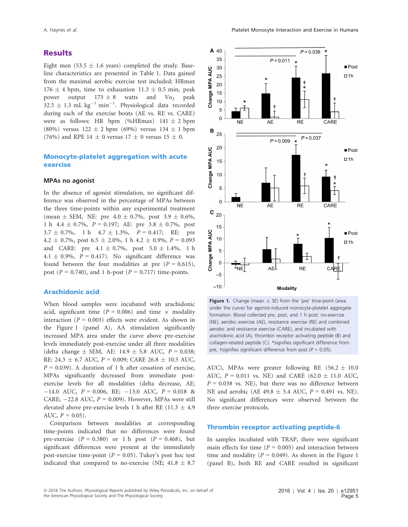# **Results**

Eight men (53.5  $\pm$  1.6 years) completed the study. Baseline characteristics are presented in Table 1. Data gained from the maximal aerobic exercise test included: HRmax  $176 \pm 4$  bpm, time to exhaustion  $11.3 \pm 0.5$  min, peak power output  $173 \pm 8$  watts and  $\text{V}_0$  peak  $32.5 \pm 1.3$  mL kg<sup>-1</sup> min<sup>-1</sup>. Physiological data recorded during each of the exercise bouts (AE vs. RE vs. CARE) were as follows: HR bpm (%HRmax)  $141 \pm 2$  bpm (80%) versus  $122 \pm 2$  bpm (69%) versus  $134 \pm 1$  bpm (76%) and RPE 14  $\pm$  0 versus 17  $\pm$  0 versus 15  $\pm$  0.

## Monocyte-platelet aggregation with acute exercise

#### MPAs no agonist

In the absence of agonist stimulation, no significant difference was observed in the percentage of MPAs between the three time-points within any experimental treatment (mean  $\pm$  SEM, NE: pre 4.0  $\pm$  0.7%, post 3.9  $\pm$  0.6%, 1 h 4.4  $\pm$  0.7%, P = 0.197; AE: pre 3.8  $\pm$  0.7%, post  $3.7 \pm 0.7\%$ , 1 h  $4.7 \pm 1.3\%$ ,  $P = 0.417$ ; RE: pre 4.2  $\pm$  0.7%, post 6.5  $\pm$  2.0%, 1 h 4.2  $\pm$  0.9%, P = 0.093 and CARE: pre  $4.1 \pm 0.7\%$ , post  $5.0 \pm 1.4\%$ , 1 h 4.1  $\pm$  0.9%, P = 0.417). No significant difference was found between the four modalities at pre  $(P = 0.615)$ , post ( $P = 0.740$ ), and 1 h-post ( $P = 0.717$ ) time-points.

#### Arachidonic acid

When blood samples were incubated with arachidonic acid, significant time ( $P = 0.006$ ) and time  $\times$  modality interaction ( $P = 0.003$ ) effects were evident. As shown in the Figure 1 (panel A), AA stimulation significantly increased MPA area under the curve above pre-exercise levels immediately post-exercise under all three modalities (delta change  $\pm$  SEM, AE: 14.9  $\pm$  5.8 AUC,  $P = 0.038$ ; RE: 24.3  $\pm$  6.7 AUC, P = 0.009; CARE 26.8  $\pm$  10.5 AUC,  $P = 0.039$ ). A duration of 1 h after cessation of exercise, MPAs significantly decreased from immediate postexercise levels for all modalities (delta decrease, AE;  $-14.0$  AUC,  $P = 0.006$ , RE;  $-13.0$  AUC,  $P = 0.018$  & CARE;  $-22.8$  AUC,  $P = 0.009$ ). However, MPAs were still elevated above pre-exercise levels 1 h after RE (11.3  $\pm$  4.9 AUC,  $P = 0.05$ ).

Comparison between modalities at corresponding time-points indicated that no differences were found pre-exercise  $(P = 0.580)$  or 1 h post  $(P = 0.468)$ , but significant differences were present at the immediately post-exercise time-point ( $P = 0.05$ ). Tukey's post hoc test indicated that compared to no-exercise (NE;  $41.8 \pm 8.7$ 



Figure 1. Change (mean  $\pm$  SE) from the 'pre' time-point (area under the curve) for agonist-induced monocyte-platelet aggregate formation. Blood collected pre, post, and 1 h post; no-exercise (NE), aerobic exercise (AE), resistance exercise (RE) and combined aerobic and resistance exercise (CARE), and incubated with arachidonic acid (A), thrombin receptor activating peptide (B) and collagen-related peptide (C). \*signifies significant difference from pre, †signifies significant difference from post ( $P < 0.05$ ).

AUC), MPAs were greater following RE  $(56.2 \pm 10.0$ AUC,  $P = 0.011$  vs. NE) and CARE (62.0  $\pm$  11.0 AUC,  $P = 0.038$  vs. NE), but there was no difference between NE and aerobic (AE 49.8  $\pm$  5.4 AUC, P = 0.491 vs. NE). No significant differences were observed between the three exercise protocols.

#### Thrombin receptor activating peptide-6

In samples incubated with TRAP, there were significant main effects for time ( $P = 0.005$ ) and interaction between time and modality ( $P = 0.049$ ). As shown in the Figure 1 (panel B), both RE and CARE resulted in significant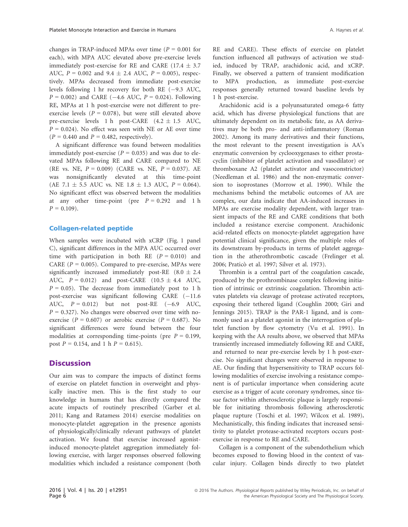changes in TRAP-induced MPAs over time ( $P = 0.001$  for each), with MPA AUC elevated above pre-exercise levels immediately post-exercise for RE and CARE (17.4  $\pm$  3.7 AUC,  $P = 0.002$  and  $9.4 \pm 2.4$  AUC,  $P = 0.005$ ), respectively. MPAs decreased from immediate post-exercise levels following 1 hr recovery for both RE  $(-9.3 \text{ AUC},$  $P = 0.002$ ) and CARE (-4.6 AUC,  $P = 0.024$ ). Following RE, MPAs at 1 h post-exercise were not different to preexercise levels ( $P = 0.078$ ), but were still elevated above pre-exercise levels 1 h post-CARE  $(4.2 \pm 1.5 \text{ AUC},$  $P = 0.024$ ). No effect was seen with NE or AE over time  $(P = 0.440$  and  $P = 0.482$ , respectively).

A significant difference was found between modalities immediately post-exercise ( $P = 0.035$ ) and was due to elevated MPAs following RE and CARE compared to NE (RE vs. NE,  $P = 0.009$ ) (CARE vs. NE,  $P = 0.037$ ). AE was nonsignificantly elevated at this time-point (AE 7.1  $\pm$  5.5 AUC vs. NE 1.8  $\pm$  1.3 AUC,  $P = 0.064$ ). No significant effect was observed between the modalities at any other time-point (pre  $P = 0.292$  and 1 h  $P = 0.109$ .

#### Collagen-related peptide

When samples were incubated with xCRP (Fig. 1 panel C), significant differences in the MPA AUC occurred over time with participation in both RE  $(P = 0.010)$  and CARE ( $P = 0.005$ ). Compared to pre-exercise, MPAs were significantly increased immediately post-RE  $(8.0 \pm 2.4)$ AUC,  $P = 0.012$ ) and post-CARE (10.5  $\pm$  4.4 AUC,  $P = 0.05$ ). The decrease from immediately post to 1 h post-exercise was significant following CARE  $(-11.6$ AUC,  $P = 0.012$ ) but not post-RE  $(-6.9 \text{ AUC},$  $P = 0.327$ ). No changes were observed over time with noexercise ( $P = 0.607$ ) or aerobic exercise ( $P = 0.687$ ). No significant differences were found between the four modalities at corresponding time-points (pre  $P = 0.199$ , post  $P = 0.154$ , and 1 h  $P = 0.615$ ).

#### **Discussion**

Our aim was to compare the impacts of distinct forms of exercise on platelet function in overweight and physically inactive men. This is the first study to our knowledge in humans that has directly compared the acute impacts of routinely prescribed (Garber et al. 2011; Kang and Ratamess 2014) exercise modalities on monocyte-platelet aggregation in the presence agonists of physiologically/clinically relevant pathways of platelet activation. We found that exercise increased agonistinduced monocyte-platelet aggregation immediately following exercise, with larger responses observed following modalities which included a resistance component (both RE and CARE). These effects of exercise on platelet function influenced all pathways of activation we studied, induced by TRAP, arachidonic acid, and xCRP. Finally, we observed a pattern of transient modification to MPA production, as immediate post-exercise responses generally returned toward baseline levels by 1 h post-exercise.

Arachidonic acid is a polyunsaturated omega-6 fatty acid, which has diverse physiological functions that are ultimately dependent on its metabolic fate, as AA derivatives may be both pro- and anti-inflammatory (Roman 2002). Among its many derivatives and their functions, the most relevant to the present investigation is AA's enzymatic conversion by cyclooxygenases to either prostacyclin (inhibitor of platelet activation and vasodilator) or thromboxane A2 (platelet activator and vasoconstrictor) (Needleman et al. 1986) and the non-enzymatic conversion to isoprostanes (Morrow et al. 1990). While the mechanisms behind the metabolic outcomes of AA are complex, our data indicate that AA-induced increases in MPAs are exercise modality dependent, with larger transient impacts of the RE and CARE conditions that both included a resistance exercise component. Arachidonic acid-related effects on monocyte-platelet aggregation have potential clinical significance, given the multiple roles of its downstream by-products in terms of platelet aggregation in the atherothrombotic cascade (Frelinger et al. 2006; Praticò et al. 1997; Silver et al. 1973).

Thrombin is a central part of the coagulation cascade, produced by the prothrombinase complex following initiation of intrinsic or extrinsic coagulation. Thrombin activates platelets via cleavage of protease activated receptors, exposing their tethered ligand (Coughlin 2000; Giri and Jennings 2015). TRAP is the PAR-1 ligand, and is commonly used as a platelet agonist in the interrogation of platelet function by flow cytometry (Vu et al. 1991). In keeping with the AA results above, we observed that MPAs transiently increased immediately following RE and CARE, and returned to near pre-exercise levels by 1 h post-exercise. No significant changes were observed in response to AE. Our finding that hypersensitivity to TRAP occurs following modalities of exercise involving a resistance component is of particular importance when considering acute exercise as a trigger of acute coronary syndromes, since tissue factor within atherosclerotic plaque is largely responsible for initiating thrombosis following atherosclerotic plaque rupture (Toschi et al. 1997; Wilcox et al. 1989). Mechanistically, this finding indicates that increased sensitivity to platelet protease-activated receptors occurs postexercise in response to RE and CARE.

Collagen is a component of the subendothelium which becomes exposed to flowing blood in the context of vascular injury. Collagen binds directly to two platelet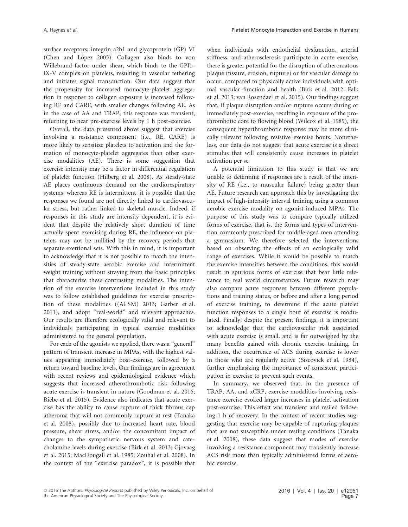surface receptors; integrin a2b1 and glycoprotein (GP) VI (Chen and López 2005). Collagen also binds to von Willebrand factor under shear, which binds to the GPIb-IX-V complex on platelets, resulting in vascular tethering and initiates signal transduction. Our data suggest that the propensity for increased monocyte-platelet aggregation in response to collagen exposure is increased following RE and CARE, with smaller changes following AE. As in the case of AA and TRAP, this response was transient, returning to near pre-exercise levels by 1 h post-exercise.

Overall, the data presented above suggest that exercise involving a resistance component (i.e., RE, CARE) is more likely to sensitize platelets to activation and the formation of monocyte-platelet aggregates than other exercise modalities (AE). There is some suggestion that exercise intensity may be a factor in differential regulation of platelet function (Hilberg et al. 2008). As steady-state AE places continuous demand on the cardiorespiratory systems, whereas RE is intermittent, it is possible that the responses we found are not directly linked to cardiovascular stress, but rather linked to skeletal muscle. Indeed, if responses in this study are intensity dependent, it is evident that despite the relatively short duration of time actually spent exercising during RE, the influence on platelets may not be nullified by the recovery periods that separate exertional sets. With this in mind, it is important to acknowledge that it is not possible to match the intensities of steady-state aerobic exercise and intermittent weight training without straying from the basic principles that characterize these contrasting modalities. The intention of the exercise interventions included in this study was to follow established guidelines for exercise prescription of these modalities ((ACSM) 2013; Garber et al. 2011), and adopt "real-world" and relevant approaches. Our results are therefore ecologically valid and relevant to individuals participating in typical exercise modalities administered to the general population.

For each of the agonists we applied, there was a "general" pattern of transient increase in MPAs, with the highest values appearing immediately post-exercise, followed by a return toward baseline levels. Our findings are in agreement with recent reviews and epidemiological evidence which suggests that increased atherothrombotic risk following acute exercise is transient in nature (Goodman et al. 2016; Riebe et al. 2015). Evidence also indicates that acute exercise has the ability to cause rupture of thick fibrous cap atheroma that will not commonly rupture at rest (Tanaka et al. 2008), possibly due to increased heart rate, blood pressure, shear stress, and/or the concomitant impact of changes to the sympathetic nervous system and catecholamine levels during exercise (Birk et al. 2013; Gjovaag et al. 2015; MacDougall et al. 1985; Zouhal et al. 2008). In the context of the "exercise paradox", it is possible that when individuals with endothelial dysfunction, arterial stiffness, and atherosclerosis participate in acute exercise, there is greater potential for the disruption of atheromatous plaque (fissure, erosion, rupture) or for vascular damage to occur, compared to physically active individuals with optimal vascular function and health (Birk et al. 2012; Falk et al. 2013; van Rosendael et al. 2015). Our findings suggest that, if plaque disruption and/or rupture occurs during or immediately post-exercise, resulting in exposure of the prothrombotic core to flowing blood (Wilcox et al. 1989), the consequent hyperthrombotic response may be more clinically relevant following resistive exercise bouts. Nonetheless, our data do not suggest that acute exercise is a direct stimulus that will consistently cause increases in platelet activation per se.

A potential limitation to this study is that we are unable to determine if responses are a result of the intensity of RE (i.e., to muscular failure) being greater than AE. Future research can approach this by investigating the impact of high-intensity interval training using a common aerobic exercise modality on agonist-induced MPAs. The purpose of this study was to compare typically utilized forms of exercise, that is, the forms and types of intervention commonly prescribed for middle-aged men attending a gymnasium. We therefore selected the interventions based on observing the effects of an ecologically valid range of exercises. While it would be possible to match the exercise intensities between the conditions, this would result in spurious forms of exercise that bear little relevance to real world circumstances. Future research may also compare acute responses between different populations and training status, or before and after a long period of exercise training, to determine if the acute platelet function responses to a single bout of exercise is modulated. Finally, despite the present findings, it is important to acknowledge that the cardiovascular risk associated with acute exercise is small, and is far outweighed by the many benefits gained with chronic exercise training. In addition, the occurrence of ACS during exercise is lower in those who are regularly active (Siscovick et al. 1984), further emphasizing the importance of consistent participation in exercise to prevent such events.

In summary, we observed that, in the presence of TRAP, AA, and xCRP, exercise modalities involving resistance exercise evoked larger increases in platelet activation post-exercise. This effect was transient and resiled following 1 h of recovery. In the context of recent studies suggesting that exercise may be capable of rupturing plaques that are not susceptible under resting conditions (Tanaka et al. 2008), these data suggest that modes of exercise involving a resistance component may transiently increase ACS risk more than typically administered forms of aerobic exercise.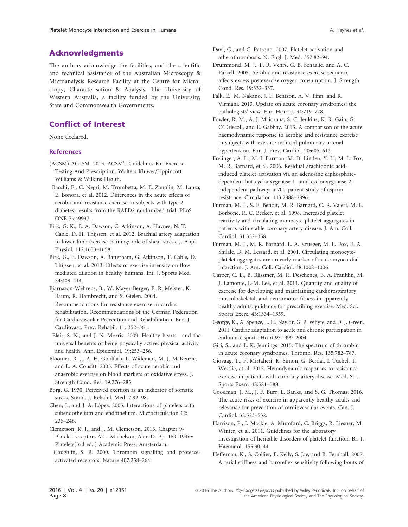# Acknowledgments

The authors acknowledge the facilities, and the scientific and technical assistance of the Australian Microscopy & Microanalysis Research Facility at the Centre for Microscopy, Characterisation & Analysis, The University of Western Australia, a facility funded by the University, State and Commonwealth Governments.

# Conflict of Interest

None declared.

#### References

- (ACSM) ACoSM. 2013. ACSM's Guidelines For Exercise Testing And Prescription. Wolters Kluwer/Lippincott Williams & Wilkins Health.
- Bacchi, E., C. Negri, M. Trombetta, M. E. Zanolin, M. Lanza, E. Bonora, et al. 2012. Differences in the acute effects of aerobic and resistance exercise in subjects with type 2 diabetes: results from the RAED2 randomized trial. PLoS ONE 7:e49937.
- Birk, G. K., E. A. Dawson, C. Atkinson, A. Haynes, N. T. Cable, D. H. Thijssen, et al. 2012. Brachial artery adaptation to lower limb exercise training: role of shear stress. J. Appl. Physiol. 112:1653–1658.
- Birk, G., E. Dawson, A. Batterham, G. Atkinson, T. Cable, D. Thijssen, et al. 2013. Effects of exercise intensity on flow mediated dilation in healthy humans. Int. J. Sports Med. 34:409–414.
- Bjarnason-Wehrens, B., W. Mayer-Berger, E. R. Meister, K. Baum, R. Hambrecht, and S. Gielen. 2004. Recommendations for resistance exercise in cardiac rehabilitation. Recommendations of the German Federation for Cardiovascular Prevention and Rehabilitation. Eur. J. Cardiovasc. Prev. Rehabil. 11: 352–361.
- Blair, S. N., and J. N. Morris. 2009. Healthy hearts—and the universal benefits of being physically active: physical activity and health. Ann. Epidemiol. 19:253–256.
- Bloomer, R. J., A. H. Goldfarb, L. Wideman, M. J. McKenzie, and L. A. Consitt. 2005. Effects of acute aerobic and anaerobic exercise on blood markers of oxidative stress. J. Strength Cond. Res. 19:276–285.
- Borg, G. 1970. Perceived exertion as an indicator of somatic stress. Scand. J. Rehabil. Med. 2:92–98.
- Chen, J., and J. A. López. 2005. Interactions of platelets with subendothelium and endothelium. Microcirculation 12: 235–246.
- Clemetson, K. J., and J. M. Clemetson. 2013. Chapter 9- Platelet receptors A2 - Michelson, Alan D. Pp. 169–194in: Platelets(3rd ed..) Academic Press, Amsterdam. Coughlin, S. R. 2000. Thrombin signalling and protease-
- Davi, G., and C. Patrono. 2007. Platelet activation and atherothrombosis. N. Engl. J. Med. 357:82–94.
- Drummond, M. J., P. R. Vehrs, G. B. Schaalje, and A. C. Parcell. 2005. Aerobic and resistance exercise sequence affects excess postexercise oxygen consumption. J. Strength Cond. Res. 19:332–337.
- Falk, E., M. Nakano, J. F. Bentzon, A. V. Finn, and R. Virmani. 2013. Update on acute coronary syndromes: the pathologists' view. Eur. Heart J. 34:719–728.
- Fowler, R. M., A. J. Maiorana, S. C. Jenkins, K. R. Gain, G. O'Driscoll, and E. Gabbay. 2013. A comparison of the acute haemodynamic response to aerobic and resistance exercise in subjects with exercise-induced pulmonary arterial hypertension. Eur. J. Prev. Cardiol. 20:605–612.
- Frelinger, A. L., M. I. Furman, M. D. Linden, Y. Li, M. L. Fox, M. R. Barnard, et al. 2006. Residual arachidonic acidinduced platelet activation via an adenosine diphosphatedependent but cyclooxygenase-1– and cyclooxygenase-2– independent pathway: a 700-patient study of aspirin resistance. Circulation 113:2888–2896.
- Furman, M. I., S. E. Benoit, M. R. Barnard, C. R. Valeri, M. L. Borbone, R. C. Becker, et al. 1998. Increased platelet reactivity and circulating monocyte-platelet aggregates in patients with stable coronary artery disease. J. Am. Coll. Cardiol. 31:352–358.
- Furman, M. I., M. R. Barnard, L. A. Krueger, M. L. Fox, E. A. Shilale, D. M. Lessard, et al. 2001. Circulating monocyteplatelet aggregates are an early marker of acute myocardial infarction. J. Am. Coll. Cardiol. 38:1002–1006.
- Garber, C. E., B. Blissmer, M. R. Deschenes, B. A. Franklin, M. J. Lamonte, I.-M. Lee, et al. 2011. Quantity and quality of exercise for developing and maintaining cardiorespiratory, musculoskeletal, and neuromotor fitness in apparently healthy adults: guidance for prescribing exercise. Med. Sci. Sports Exerc. 43:1334–1359.
- George, K., A. Spence, L. H. Naylor, G. P. Whyte, and D. J. Green. 2011. Cardiac adaptation to acute and chronic participation in endurance sports. Heart 97:1999–2004.
- Giri, S., and L. K. Jennings. 2015. The spectrum of thrombin in acute coronary syndromes. Thromb. Res. 135:782–787.
- Gjovaag, T., P. Mirtaheri, K. Simon, G. Berdal, I. Tuchel, T. Westlie, et al. 2015. Hemodynamic responses to resistance exercise in patients with coronary artery disease. Med. Sci. Sports Exerc. 48:581–588.
- Goodman, J. M., J. F. Burr, L. Banks, and S. G. Thomas. 2016. The acute risks of exercise in apparently healthy adults and relevance for prevention of cardiovascular events. Can. J. Cardiol. 32:523–532.
- Harrison, P., I. Mackie, A. Mumford, C. Briggs, R. Liesner, M. Winter, et al. 2011. Guidelines for the laboratory investigation of heritable disorders of platelet function. Br. J. Haematol. 155:30–44.
- Heffernan, K., S. Collier, E. Kelly, S. Jae, and B. Fernhall. 2007. Arterial stiffness and baroreflex sensitivity following bouts of

activated receptors. Nature 407:258–264.